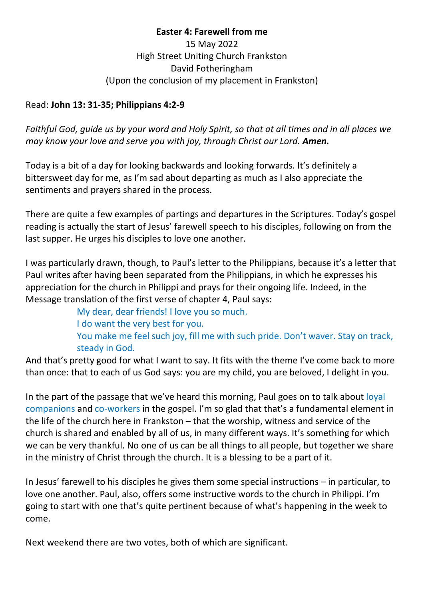**Easter 4: Farewell from me** 15 May 2022 High Street Uniting Church Frankston David Fotheringham (Upon the conclusion of my placement in Frankston)

## Read: **John 13: 31-35; Philippians 4:2-9**

*Faithful God, guide us by your word and Holy Spirit, so that at all times and in all places we may know your love and serve you with joy, through Christ our Lord. Amen.*

Today is a bit of a day for looking backwards and looking forwards. It's definitely a bittersweet day for me, as I'm sad about departing as much as I also appreciate the sentiments and prayers shared in the process.

There are quite a few examples of partings and departures in the Scriptures. Today's gospel reading is actually the start of Jesus' farewell speech to his disciples, following on from the last supper. He urges his disciples to love one another.

I was particularly drawn, though, to Paul's letter to the Philippians, because it's a letter that Paul writes after having been separated from the Philippians, in which he expresses his appreciation for the church in Philippi and prays for their ongoing life. Indeed, in the Message translation of the first verse of chapter 4, Paul says:

My dear, dear friends! I love you so much. I do want the very best for you. You make me feel such joy, fill me with such pride. Don't waver. Stay on track, steady in God.

And that's pretty good for what I want to say. It fits with the theme I've come back to more than once: that to each of us God says: you are my child, you are beloved, I delight in you.

In the part of the passage that we've heard this morning, Paul goes on to talk about loyal companions and co-workers in the gospel. I'm so glad that that's a fundamental element in the life of the church here in Frankston – that the worship, witness and service of the church is shared and enabled by all of us, in many different ways. It's something for which we can be very thankful. No one of us can be all things to all people, but together we share in the ministry of Christ through the church. It is a blessing to be a part of it.

In Jesus' farewell to his disciples he gives them some special instructions – in particular, to love one another. Paul, also, offers some instructive words to the church in Philippi. I'm going to start with one that's quite pertinent because of what's happening in the week to come.

Next weekend there are two votes, both of which are significant.